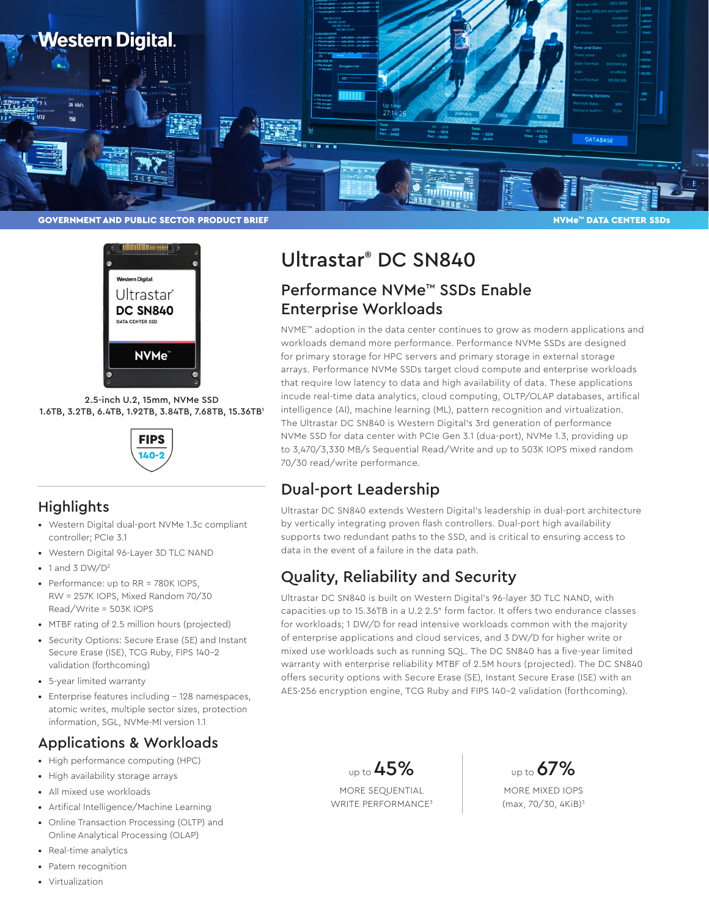



2.5-inch U.2, 15mm, NVMe SSD 1.6TB, 3.2TB, 6.4TB, 1.92TB, 3.84TB, 7.68TB, 15.36TB1



#### **Highlights**

- Western Digital dual-port NVMe 1.3c compliant controller; PCIe 3.1
- Western Digital 96-Layer 3D TLC NAND
- 1 and 3  $DW/D^2$
- Performance: up to RR = 780K IOPS, RW = 257K IOPS, Mixed Random 70/30 Read/Write = 503K IOPS
- MTBF rating of 2.5 million hours (projected)
- Security Options: Secure Erase (SE) and Instant Secure Erase (ISE), TCG Ruby, FIPS 140-2 validation (forthcoming)
- 5-year limited warranty
- Enterprise features including 128 namespaces, atomic writes, multiple sector sizes, protection information, SGL, NVMe-MI version 1.1

## Applications & Workloads

- High performance computing (HPC)
- High availability storage arrays
- All mixed use workloads
- Artifical Intelligence/Machine Learning
- Online Transaction Processing (OLTP) and Online Analytical Processing (OLAP)
- Real-time analytics
- Patern recognition
- Virtualization

# Ultrastar® DC SN840

# Performance NVMe™ SSDs Enable Enterprise Workloads

NVME™ adoption in the data center continues to grow as modern applications and workloads demand more performance. Performance NVMe SSDs are designed for primary storage for HPC servers and primary storage in external storage arrays. Performance NVMe SSDs target cloud compute and enterprise workloads that require low latency to data and high availability of data. These applications incude real-time data analytics, cloud computing, OLTP/OLAP databases, artifical intelligence (AI), machine learning (ML), pattern recognition and virtualization. The Ultrastar DC SN840 is Western Digital's 3rd generation of performance NVMe SSD for data center with PCIe Gen 3.1 (dua-port), NVMe 1.3, providing up to 3,470/3,330 MB/s Sequential Read/Write and up to 503K IOPS mixed random 70/30 read/write performance.

# Dual-port Leadership

Ultrastar DC SN840 extends Western Digital's leadership in dual-port architecture by vertically integrating proven flash controllers. Dual-port high availability supports two redundant paths to the SSD, and is critical to ensuring access to data in the event of a failure in the data path.

# Quality, Reliability and Security

Ultrastar DC SN840 is built on Western Digital's 96-layer 3D TLC NAND, with capacities up to 15.36TB in a U.2 2.5" form factor. It offers two endurance classes for workloads; 1 DW/D for read intensive workloads common with the majority of enterprise applications and cloud services, and 3 DW/D for higher write or mixed use workloads such as running SQL. The DC SN840 has a five-year limited warranty with enterprise reliability MTBF of 2.5M hours (projected). The DC SN840 offers security options with Secure Erase (SE), Instant Secure Erase (ISE) with an AES-256 encryption engine, TCG Ruby and FIPS 140-2 validation (forthcoming).

> up to  $45%$ MORE SEQUENTIAL WRITE PERFORMANCE<sup>3</sup>

up to **67%** 

MORE MIXED IOPS (max, 70/30, 4KiB)3